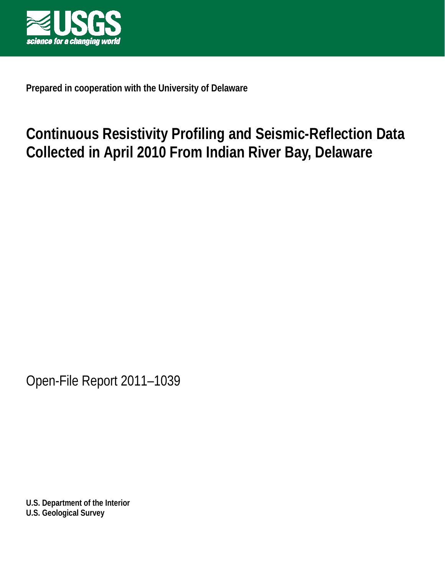

**Prepared in cooperation with the University of Delaware**

# **Continuous Resistivity Profiling and Seismic-Reflection Data Collected in April 2010 From Indian River Bay, Delaware**

Open-File Report 2011–1039

**U.S. Department of the Interior U.S. Geological Survey**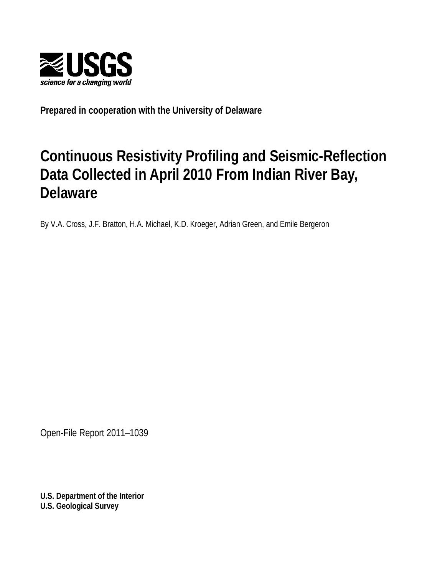

**Prepared in cooperation with the University of Delaware**

# **Continuous Resistivity Profiling and Seismic-Reflection Data Collected in April 2010 From Indian River Bay, Delaware**

By V.A. Cross, J.F. Bratton, H.A. Michael, K.D. Kroeger, Adrian Green, and Emile Bergeron

Open-File Report 2011–1039

**U.S. Department of the Interior U.S. Geological Survey**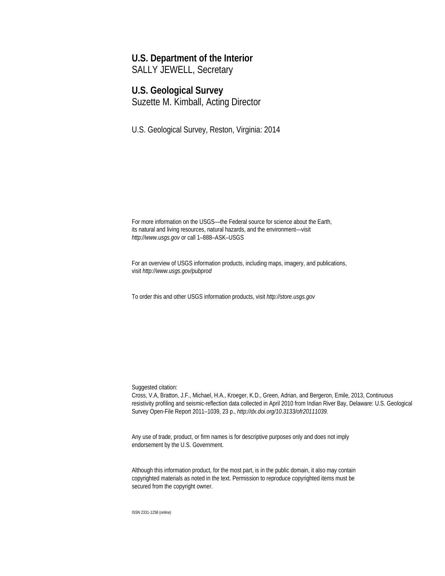#### **U.S. Department of the Interior**

SALLY JEWELL, Secretary

#### **U.S. Geological Survey**

Suzette M. Kimball, Acting Director

U.S. Geological Survey, Reston, Virginia: 2014

For more information on the USGS—the Federal source for science about the Earth, its natural and living resources, natural hazards, and the environment—visit *[http://www.usgs.gov](http://www.usgs.gov/)* or call 1–888–ASK–USGS

For an overview of USGS information products, including maps, imagery, and publications, visit *<http://www.usgs.gov/pubprod>*

To order this and other USGS information products, visit *[http://store.usgs.gov](http://store.usgs.gov/)*

Suggested citation:

Cross, V.A, Bratton, J.F., Michael, H.A., Kroeger, K.D., Green, Adrian, and Bergeron, Emile, 2013, Continuous resistivity profiling and seismic-reflection data collected in April 2010 from Indian River Bay, Delaware: U.S. Geological Survey Open-File Report 2011–1039, 23 p., *[http://dx.doi.org/10.3133/ofr20111039.](http://dx.doi.org/10.3133/ofr20111039)*

Any use of trade, product, or firm names is for descriptive purposes only and does not imply endorsement by the U.S. Government.

Although this information product, for the most part, is in the public domain, it also may contain copyrighted materials as noted in the text. Permission to reproduce copyrighted items must be secured from the copyright owner.

ISSN 2331-1258 (online)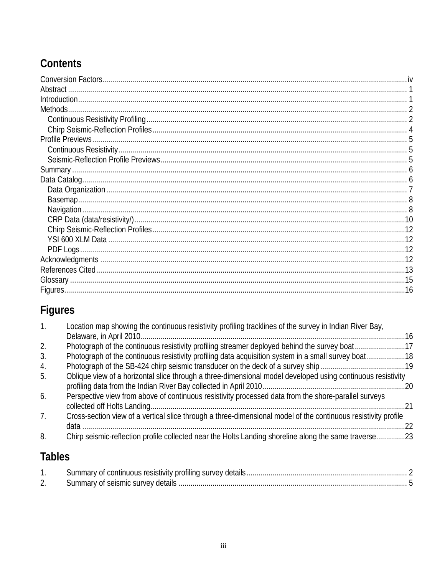## Contents

| Abstract. |  |
|-----------|--|
|           |  |
| Methods.  |  |
|           |  |
|           |  |
|           |  |
|           |  |
|           |  |
|           |  |
|           |  |
|           |  |
|           |  |
|           |  |
|           |  |
|           |  |
|           |  |
|           |  |
|           |  |
|           |  |
|           |  |
|           |  |

## Figures

| 1. | Location map showing the continuous resistivity profiling tracklines of the survey in Indian River Bay,        |      |
|----|----------------------------------------------------------------------------------------------------------------|------|
|    |                                                                                                                | . 16 |
| 2. | Photograph of the continuous resistivity profiling streamer deployed behind the survey boat17                  |      |
| 3. | Photograph of the continuous resistivity profiling data acquisition system in a small survey boat18            |      |
| 4. |                                                                                                                |      |
| 5. | Oblique view of a horizontal slice through a three-dimensional model developed using continuous resistivity    |      |
| 6. | Perspective view from above of continuous resistivity processed data from the shore-parallel surveys           | 21   |
| 7. | Cross-section view of a vertical slice through a three-dimensional model of the continuous resistivity profile | 22   |
| 8. | Chirp seismic-reflection profile collected near the Holts Landing shoreline along the same traverse23          |      |

## **Tables**

| Summary of continuous resistivity profiling survey details |  |
|------------------------------------------------------------|--|
| Summary of seismic survey details                          |  |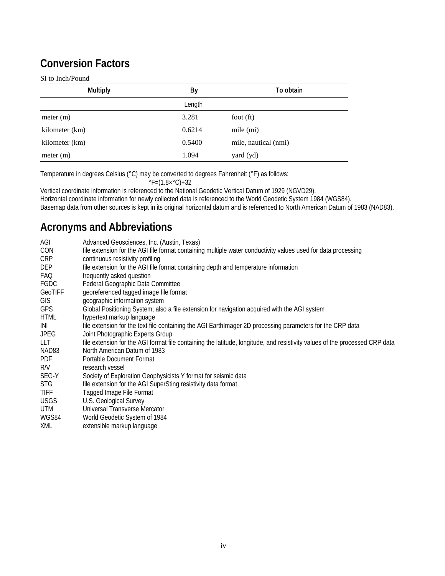## **Conversion Factors**

#### SI to Inch/Pound

| <b>Multiply</b> | By     | To obtain            |
|-----------------|--------|----------------------|
|                 | Length |                      |
| meter (m)       | 3.281  | foot $(ft)$          |
| kilometer (km)  | 0.6214 | mile (mi)            |
| kilometer (km)  | 0.5400 | mile, nautical (nmi) |
| meter (m)       | 1.094  | yard (yd)            |

Temperature in degrees Celsius (°C) may be converted to degrees Fahrenheit (°F) as follows:

 $\degree$ F=(1.8× $\degree$ C)+32

Vertical coordinate information is referenced to the National Geodetic Vertical Datum of 1929 (NGVD29). Horizontal coordinate information for newly collected data is referenced to the World Geodetic System 1984 (WGS84). Basemap data from other sources is kept in its original horizontal datum and is referenced to North American Datum of 1983 (NAD83).

## **Acronyms and Abbreviations**

| AGI         | Advanced Geosciences, Inc. (Austin, Texas)                                                                                  |
|-------------|-----------------------------------------------------------------------------------------------------------------------------|
| CON         | file extension for the AGI file format containing multiple water conductivity values used for data processing               |
| <b>CRP</b>  | continuous resistivity profiling                                                                                            |
| DEP         | file extension for the AGI file format containing depth and temperature information                                         |
| FAQ         | frequently asked question                                                                                                   |
| FGDC        | Federal Geographic Data Committee                                                                                           |
| GeoTIFF     | georeferenced tagged image file format                                                                                      |
| GIS         | geographic information system                                                                                               |
| <b>GPS</b>  | Global Positioning System; also a file extension for navigation acquired with the AGI system                                |
| <b>HTML</b> | hypertext markup language                                                                                                   |
| INI         | file extension for the text file containing the AGI Earth mager 2D processing parameters for the CRP data                   |
| JPEG        | Joint Photographic Experts Group                                                                                            |
| LLT.        | file extension for the AGI format file containing the latitude, longitude, and resistivity values of the processed CRP data |
| NAD83       | North American Datum of 1983                                                                                                |
| <b>PDF</b>  | <b>Portable Document Format</b>                                                                                             |
| R/V         | research vessel                                                                                                             |
| SEG-Y       | Society of Exploration Geophysicists Y format for seismic data                                                              |
| <b>STG</b>  | file extension for the AGI SuperSting resistivity data format                                                               |
| <b>TIFF</b> | Tagged Image File Format                                                                                                    |
| <b>USGS</b> | U.S. Geological Survey                                                                                                      |
| UTM         | Universal Transverse Mercator                                                                                               |
| WGS84       | World Geodetic System of 1984                                                                                               |
| <b>XML</b>  | extensible markup language                                                                                                  |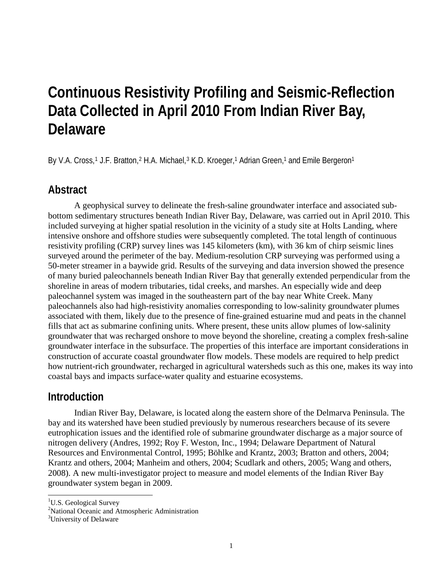# **Continuous Resistivity Profiling and Seismic-Reflection Data Collected in April 2010 From Indian River Bay, Delaware**

By V.A. Cross,<sup>[1](#page-6-0)</sup> J.F. Bratton,<sup>[2](#page-6-1)</sup> H.A. Michael,<sup>[3](#page-6-2)</sup> K.D. Kroeger,<sup>1</sup> Adrian Green,<sup>1</sup> and Emile Bergeron<sup>1</sup>

#### **Abstract**

A geophysical survey to delineate the fresh-saline groundwater interface and associated subbottom sedimentary structures beneath Indian River Bay, Delaware, was carried out in April 2010. This included surveying at higher spatial resolution in the vicinity of a study site at Holts Landing, where intensive onshore and offshore studies were subsequently completed. The total length of continuous resistivity profiling (CRP) survey lines was 145 kilometers (km), with 36 km of chirp seismic lines surveyed around the perimeter of the bay. Medium-resolution CRP surveying was performed using a 50-meter streamer in a baywide grid. Results of the surveying and data inversion showed the presence of many buried paleochannels beneath Indian River Bay that generally extended perpendicular from the shoreline in areas of modern tributaries, tidal creeks, and marshes. An especially wide and deep paleochannel system was imaged in the southeastern part of the bay near White Creek. Many paleochannels also had high-resistivity anomalies corresponding to low-salinity groundwater plumes associated with them, likely due to the presence of fine-grained estuarine mud and peats in the channel fills that act as submarine confining units. Where present, these units allow plumes of low-salinity groundwater that was recharged onshore to move beyond the shoreline, creating a complex fresh-saline groundwater interface in the subsurface. The properties of this interface are important considerations in construction of accurate coastal groundwater flow models. These models are required to help predict how nutrient-rich groundwater, recharged in agricultural watersheds such as this one, makes its way into coastal bays and impacts surface-water quality and estuarine ecosystems.

#### **Introduction**

Indian River Bay, Delaware, is located along the eastern shore of the Delmarva Peninsula. The bay and its watershed have been studied previously by numerous researchers because of its severe eutrophication issues and the identified role of submarine groundwater discharge as a major source of nitrogen delivery (Andres, 1992; Roy F. Weston, Inc., 1994; Delaware Department of Natural Resources and Environmental Control, 1995; Böhlke and Krantz, 2003; Bratton and others, 2004; Krantz and others, 2004; Manheim and others, 2004; Scudlark and others, 2005; Wang and others, 2008). A new multi-investigator project to measure and model elements of the Indian River Bay groundwater system began in 2009.

<sup>&</sup>lt;sup>1</sup>U.S. Geological Survey

<span id="page-6-2"></span><span id="page-6-1"></span><span id="page-6-0"></span><sup>&</sup>lt;sup>2</sup>National Oceanic and Atmospheric Administration

<sup>&</sup>lt;sup>3</sup>University of Delaware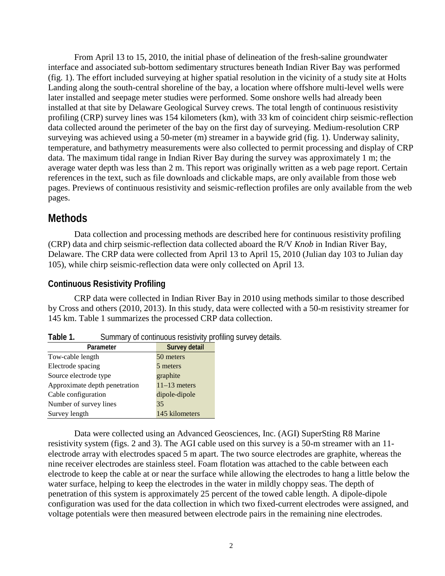From April 13 to 15, 2010, the initial phase of delineation of the fresh-saline groundwater interface and associated sub-bottom sedimentary structures beneath Indian River Bay was performed (fig. 1). The effort included surveying at higher spatial resolution in the vicinity of a study site at Holts Landing along the south-central shoreline of the bay, a location where offshore multi-level wells were later installed and seepage meter studies were performed. Some onshore wells had already been installed at that site by Delaware Geological Survey crews. The total length of continuous resistivity profiling (CRP) survey lines was 154 kilometers (km), with 33 km of coincident chirp seismic-reflection data collected around the perimeter of the bay on the first day of surveying. Medium-resolution CRP surveying was achieved using a 50-meter (m) streamer in a baywide grid (fig. 1). Underway salinity, temperature, and bathymetry measurements were also collected to permit processing and display of CRP data. The maximum tidal range in Indian River Bay during the survey was approximately 1 m; the average water depth was less than 2 m. This report was originally written as a web page report. Certain references in the text, such as file downloads and clickable maps, are only available from those web pages. Previews of continuous resistivity and seismic-reflection profiles are only available from the web pages.

### **Methods**

Data collection and processing methods are described here for continuous resistivity profiling (CRP) data and chirp seismic-reflection data collected aboard the R/V *Knob* in Indian River Bay, Delaware. The CRP data were collected from April 13 to April 15, 2010 (Julian day 103 to Julian day 105), while chirp seismic-reflection data were only collected on April 13.

#### **Continuous Resistivity Profiling**

CRP data were collected in Indian River Bay in 2010 using methods similar to those described by Cross and others (2010, 2013). In this study, data were collected with a 50-m resistivity streamer for 145 km. Table 1 summarizes the processed CRP data collection.

| Parameter                     | Survey detail  |
|-------------------------------|----------------|
| Tow-cable length              | 50 meters      |
| Electrode spacing             | 5 meters       |
| Source electrode type         | graphite       |
| Approximate depth penetration | $11-13$ meters |
| Cable configuration           | dipole-dipole  |
| Number of survey lines        | 35             |
| Survey length                 | 145 kilometers |

| Table 1.<br>Summary of continuous resistivity profiling survey details. |
|-------------------------------------------------------------------------|
|-------------------------------------------------------------------------|

Data were collected using an Advanced Geosciences, Inc. (AGI) SuperSting R8 Marine resistivity system (figs. 2 and 3). The AGI cable used on this survey is a 50-m streamer with an 11 electrode array with electrodes spaced 5 m apart. The two source electrodes are graphite, whereas the nine receiver electrodes are stainless steel. Foam flotation was attached to the cable between each electrode to keep the cable at or near the surface while allowing the electrodes to hang a little below the water surface, helping to keep the electrodes in the water in mildly choppy seas. The depth of penetration of this system is approximately 25 percent of the towed cable length. A dipole-dipole configuration was used for the data collection in which two fixed-current electrodes were assigned, and voltage potentials were then measured between electrode pairs in the remaining nine electrodes.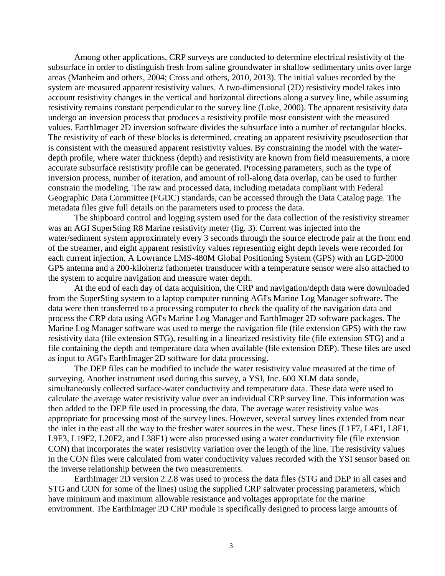Among other applications, CRP surveys are conducted to determine electrical resistivity of the subsurface in order to distinguish fresh from saline groundwater in shallow sedimentary units over large areas (Manheim and others, 2004; Cross and others, 2010, 2013). The initial values recorded by the system are measured apparent resistivity values. A two-dimensional (2D) resistivity model takes into account resistivity changes in the vertical and horizontal directions along a survey line, while assuming resistivity remains constant perpendicular to the survey line (Loke, 2000). The apparent resistivity data undergo an inversion process that produces a resistivity profile most consistent with the measured values. EarthImager 2D inversion software divides the subsurface into a number of rectangular blocks. The resistivity of each of these blocks is determined, creating an apparent resistivity pseudosection that is consistent with the measured apparent resistivity values. By constraining the model with the waterdepth profile, where water thickness (depth) and resistivity are known from field measurements, a more accurate subsurface resistivity profile can be generated. Processing parameters, such as the type of inversion process, number of iteration, and amount of roll-along data overlap, can be used to further constrain the modeling. The raw and processed data, including metadata compliant with Federal Geographic Data Committee (FGDC) standards, can be accessed through the Data Catalog page. The metadata files give full details on the parameters used to process the data.

The shipboard control and logging system used for the data collection of the resistivity streamer was an AGI SuperSting R8 Marine resistivity meter (fig. 3). Current was injected into the water/sediment system approximately every 3 seconds through the source electrode pair at the front end of the streamer, and eight apparent resistivity values representing eight depth levels were recorded for each current injection. A Lowrance LMS-480M Global Positioning System (GPS) with an LGD-2000 GPS antenna and a 200-kilohertz fathometer transducer with a temperature sensor were also attached to the system to acquire navigation and measure water depth.

At the end of each day of data acquisition, the CRP and navigation/depth data were downloaded from the SuperSting system to a laptop computer running AGI's Marine Log Manager software. The data were then transferred to a processing computer to check the quality of the navigation data and process the CRP data using AGI's Marine Log Manager and EarthImager 2D software packages. The Marine Log Manager software was used to merge the navigation file (file extension GPS) with the raw resistivity data (file extension STG), resulting in a linearized resistivity file (file extension STG) and a file containing the depth and temperature data when available (file extension DEP). These files are used as input to AGI's EarthImager 2D software for data processing.

The DEP files can be modified to include the water resistivity value measured at the time of surveying. Another instrument used during this survey, a YSI, Inc. 600 XLM data sonde, simultaneously collected surface-water conductivity and temperature data. These data were used to calculate the average water resistivity value over an individual CRP survey line. This information was then added to the DEP file used in processing the data. The average water resistivity value was appropriate for processing most of the survey lines. However, several survey lines extended from near the inlet in the east all the way to the fresher water sources in the west. These lines (L1F7, L4F1, L8F1, L9F3, L19F2, L20F2, and L38F1) were also processed using a water conductivity file (file extension CON) that incorporates the water resistivity variation over the length of the line. The resistivity values in the CON files were calculated from water conductivity values recorded with the YSI sensor based on the inverse relationship between the two measurements.

EarthImager 2D version 2.2.8 was used to process the data files (STG and DEP in all cases and STG and CON for some of the lines) using the supplied CRP saltwater processing parameters, which have minimum and maximum allowable resistance and voltages appropriate for the marine environment. The EarthImager 2D CRP module is specifically designed to process large amounts of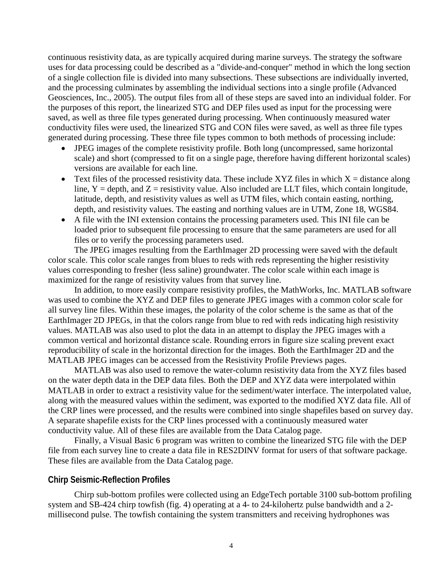continuous resistivity data, as are typically acquired during marine surveys. The strategy the software uses for data processing could be described as a "divide-and-conquer" method in which the long section of a single collection file is divided into many subsections. These subsections are individually inverted, and the processing culminates by assembling the individual sections into a single profile (Advanced Geosciences, Inc., 2005). The output files from all of these steps are saved into an individual folder. For the purposes of this report, the linearized STG and DEP files used as input for the processing were saved, as well as three file types generated during processing. When continuously measured water conductivity files were used, the linearized STG and CON files were saved, as well as three file types generated during processing. These three file types common to both methods of processing include:

- JPEG images of the complete resistivity profile. Both long (uncompressed, same horizontal scale) and short (compressed to fit on a single page, therefore having different horizontal scales) versions are available for each line.
- Text files of the processed resistivity data. These include XYZ files in which  $X =$  distance along line,  $Y =$  depth, and  $Z =$  resistivity value. Also included are LLT files, which contain longitude, latitude, depth, and resistivity values as well as UTM files, which contain easting, northing, depth, and resistivity values. The easting and northing values are in UTM, Zone 18, WGS84.
- A file with the INI extension contains the processing parameters used. This INI file can be loaded prior to subsequent file processing to ensure that the same parameters are used for all files or to verify the processing parameters used.

The JPEG images resulting from the EarthImager 2D processing were saved with the default color scale. This color scale ranges from blues to reds with reds representing the higher resistivity values corresponding to fresher (less saline) groundwater. The color scale within each image is maximized for the range of resistivity values from that survey line.

In addition, to more easily compare resistivity profiles, the MathWorks, Inc. MATLAB software was used to combine the XYZ and DEP files to generate JPEG images with a common color scale for all survey line files. Within these images, the polarity of the color scheme is the same as that of the EarthImager 2D JPEGs, in that the colors range from blue to red with reds indicating high resistivity values. MATLAB was also used to plot the data in an attempt to display the JPEG images with a common vertical and horizontal distance scale. Rounding errors in figure size scaling prevent exact reproducibility of scale in the horizontal direction for the images. Both the EarthImager 2D and the MATLAB JPEG images can be accessed from the Resistivity Profile Previews pages.

MATLAB was also used to remove the water-column resistivity data from the XYZ files based on the water depth data in the DEP data files. Both the DEP and XYZ data were interpolated within MATLAB in order to extract a resistivity value for the sediment/water interface. The interpolated value, along with the measured values within the sediment, was exported to the modified XYZ data file. All of the CRP lines were processed, and the results were combined into single shapefiles based on survey day. A separate shapefile exists for the CRP lines processed with a continuously measured water conductivity value. All of these files are available from the Data Catalog page.

Finally, a Visual Basic 6 program was written to combine the linearized STG file with the DEP file from each survey line to create a data file in RES2DINV format for users of that software package. These files are available from the Data Catalog page.

#### **Chirp Seismic-Reflection Profiles**

Chirp sub-bottom profiles were collected using an EdgeTech portable 3100 sub-bottom profiling system and SB-424 chirp towfish (fig. 4) operating at a 4- to 24-kilohertz pulse bandwidth and a 2 millisecond pulse. The towfish containing the system transmitters and receiving hydrophones was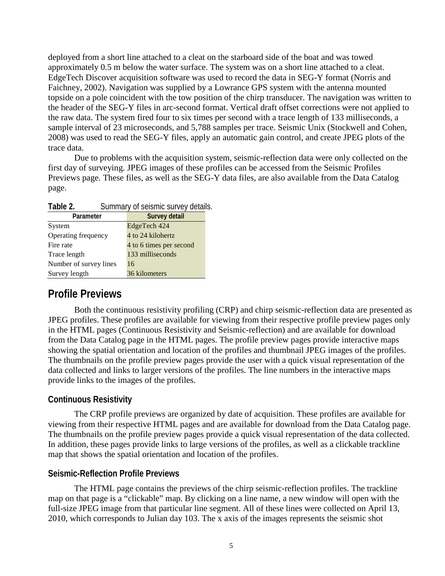deployed from a short line attached to a cleat on the starboard side of the boat and was towed approximately 0.5 m below the water surface. The system was on a short line attached to a cleat. EdgeTech Discover acquisition software was used to record the data in SEG-Y format (Norris and Faichney, 2002). Navigation was supplied by a Lowrance GPS system with the antenna mounted topside on a pole coincident with the tow position of the chirp transducer. The navigation was written to the header of the SEG-Y files in arc-second format. Vertical draft offset corrections were not applied to the raw data. The system fired four to six times per second with a trace length of 133 milliseconds, a sample interval of 23 microseconds, and 5,788 samples per trace. Seismic Unix (Stockwell and Cohen, 2008) was used to read the SEG-Y files, apply an automatic gain control, and create JPEG plots of the trace data.

Due to problems with the acquisition system, seismic-reflection data were only collected on the first day of surveying. JPEG images of these profiles can be accessed from the Seismic Profiles Previews page. These files, as well as the SEG-Y data files, are also available from the Data Catalog page.

Table 2. **Summary of seismic survey details.** 

| Parameter              | Survey detail           |
|------------------------|-------------------------|
| System                 | EdgeTech 424            |
| Operating frequency    | 4 to 24 kilohertz       |
| Fire rate              | 4 to 6 times per second |
| Trace length           | 133 milliseconds        |
| Number of survey lines | 16                      |
| Survey length          | 36 kilometers           |

### **Profile Previews**

Both the continuous resistivity profiling (CRP) and chirp seismic-reflection data are presented as JPEG profiles. These profiles are available for viewing from their respective profile preview pages only in the HTML pages (Continuous Resistivity and Seismic-reflection) and are available for download from the Data Catalog page in the HTML pages. The profile preview pages provide interactive maps showing the spatial orientation and location of the profiles and thumbnail JPEG images of the profiles. The thumbnails on the profile preview pages provide the user with a quick visual representation of the data collected and links to larger versions of the profiles. The line numbers in the interactive maps provide links to the images of the profiles.

#### **Continuous Resistivity**

The CRP profile previews are organized by date of acquisition. These profiles are available for viewing from their respective HTML pages and are available for download from the Data Catalog page. The thumbnails on the profile preview pages provide a quick visual representation of the data collected. In addition, these pages provide links to large versions of the profiles, as well as a clickable trackline map that shows the spatial orientation and location of the profiles.

#### **Seismic-Reflection Profile Previews**

The HTML page contains the previews of the chirp seismic-reflection profiles. The trackline map on that page is a "clickable" map. By clicking on a line name, a new window will open with the full-size JPEG image from that particular line segment. All of these lines were collected on April 13, 2010, which corresponds to Julian day 103. The x axis of the images represents the seismic shot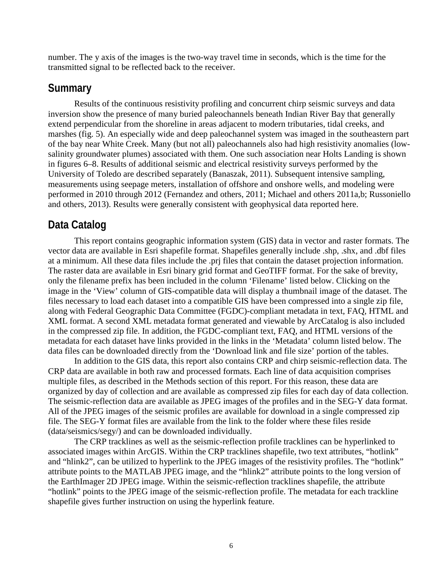number. The y axis of the images is the two-way travel time in seconds, which is the time for the transmitted signal to be reflected back to the receiver.

#### **Summary**

Results of the continuous resistivity profiling and concurrent chirp seismic surveys and data inversion show the presence of many buried paleochannels beneath Indian River Bay that generally extend perpendicular from the shoreline in areas adjacent to modern tributaries, tidal creeks, and marshes (fig. 5). An especially wide and deep paleochannel system was imaged in the southeastern part of the bay near White Creek. Many (but not all) paleochannels also had high resistivity anomalies (lowsalinity groundwater plumes) associated with them. One such association near Holts Landing is shown in figures 6–8. Results of additional seismic and electrical resistivity surveys performed by the University of Toledo are described separately (Banaszak, 2011). Subsequent intensive sampling, measurements using seepage meters, installation of offshore and onshore wells, and modeling were performed in 2010 through 2012 (Fernandez and others, 2011; Michael and others 2011a,b; Russoniello and others, 2013). Results were generally consistent with geophysical data reported here.

### **Data Catalog**

This report contains geographic information system (GIS) data in vector and raster formats. The vector data are available in Esri shapefile format. Shapefiles generally include .shp, .shx, and .dbf files at a minimum. All these data files include the .prj files that contain the dataset projection information. The raster data are available in Esri binary grid format and GeoTIFF format. For the sake of brevity, only the filename prefix has been included in the column 'Filename' listed below. Clicking on the image in the 'View' column of GIS-compatible data will display a thumbnail image of the dataset. The files necessary to load each dataset into a compatible GIS have been compressed into a single zip file, along with Federal Geographic Data Committee (FGDC)-compliant metadata in text, FAQ, HTML and XML format. A second XML metadata format generated and viewable by ArcCatalog is also included in the compressed zip file. In addition, the FGDC-compliant text, FAQ, and HTML versions of the metadata for each dataset have links provided in the links in the 'Metadata' column listed below. The data files can be downloaded directly from the 'Download link and file size' portion of the tables.

In addition to the GIS data, this report also contains CRP and chirp seismic-reflection data. The CRP data are available in both raw and processed formats. Each line of data acquisition comprises multiple files, as described in the Methods section of this report. For this reason, these data are organized by day of collection and are available as compressed zip files for each day of data collection. The seismic-reflection data are available as JPEG images of the profiles and in the SEG-Y data format. All of the JPEG images of the seismic profiles are available for download in a single compressed zip file. The SEG-Y format files are available from the link to the folder where these files reside (data/seismics/segy/) and can be downloaded individually.

The CRP tracklines as well as the seismic-reflection profile tracklines can be hyperlinked to associated images within ArcGIS. Within the CRP tracklines shapefile, two text attributes, "hotlink" and "hlink2", can be utilized to hyperlink to the JPEG images of the resistivity profiles. The "hotlink" attribute points to the MATLAB JPEG image, and the "hlink2" attribute points to the long version of the EarthImager 2D JPEG image. Within the seismic-reflection tracklines shapefile, the attribute "hotlink" points to the JPEG image of the seismic-reflection profile. The metadata for each trackline shapefile gives further instruction on using the hyperlink feature.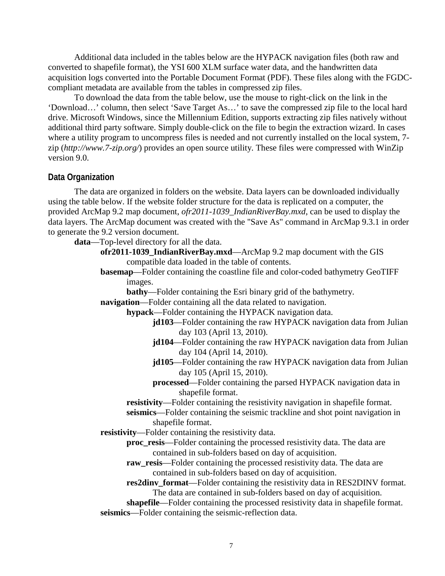Additional data included in the tables below are the HYPACK navigation files (both raw and converted to shapefile format), the YSI 600 XLM surface water data, and the handwritten data acquisition logs converted into the Portable Document Format (PDF). These files along with the FGDCcompliant metadata are available from the tables in compressed zip files.

To download the data from the table below, use the mouse to right-click on the link in the 'Download…' column, then select 'Save Target As…' to save the compressed zip file to the local hard drive. Microsoft Windows, since the Millennium Edition, supports extracting zip files natively without additional third party software. Simply double-click on the file to begin the extraction wizard. In cases where a utility program to uncompress files is needed and not currently installed on the local system, 7zip (*<http://www.7-zip.org/>*) provides an open source utility. These files were compressed with WinZip version 9.0.

#### **Data Organization**

The data are organized in folders on the website. Data layers can be downloaded individually using the table below. If the website folder structure for the data is replicated on a computer, the provided ArcMap 9.2 map document, *[ofr2011-1039\\_IndianRiverBay.mxd](http://pubs.usgs.gov/preview/of/2011/1039/data/ofr2011-1039_IndianRiverBay.mxd)*, can be used to display the data layers. The ArcMap document was created with the "Save As" command in ArcMap 9.3.1 in order to generate the 9.2 version document.

**data**—Top-level directory for all the data.

**ofr2011-1039\_IndianRiverBay.mxd**—ArcMap 9.2 map document with the GIS compatible data loaded in the table of contents.

- **basemap**—Folder containing the coastline file and color-coded bathymetry GeoTIFF images.
- **bathy**—Folder containing the Esri binary grid of the bathymetry. **navigation**—Folder containing all the data related to navigation.

**hypack**—Folder containing the HYPACK navigation data.

- **jd103**—Folder containing the raw HYPACK navigation data from Julian day 103 (April 13, 2010).
- **jd104**—Folder containing the raw HYPACK navigation data from Julian day 104 (April 14, 2010).
- **jd105**—Folder containing the raw HYPACK navigation data from Julian day 105 (April 15, 2010).
- **processed**—Folder containing the parsed HYPACK navigation data in shapefile format.

**resistivity**—Folder containing the resistivity navigation in shapefile format.

**seismics**—Folder containing the seismic trackline and shot point navigation in shapefile format.

**resistivity**—Folder containing the resistivity data.

- **proc\_resis**—Folder containing the processed resistivity data. The data are contained in sub-folders based on day of acquisition.
- raw resis—Folder containing the processed resistivity data. The data are contained in sub-folders based on day of acquisition.

**res2dinv\_format**—Folder containing the resistivity data in RES2DINV format. The data are contained in sub-folders based on day of acquisition.

**shapefile**—Folder containing the processed resistivity data in shapefile format. **seismics**—Folder containing the seismic-reflection data.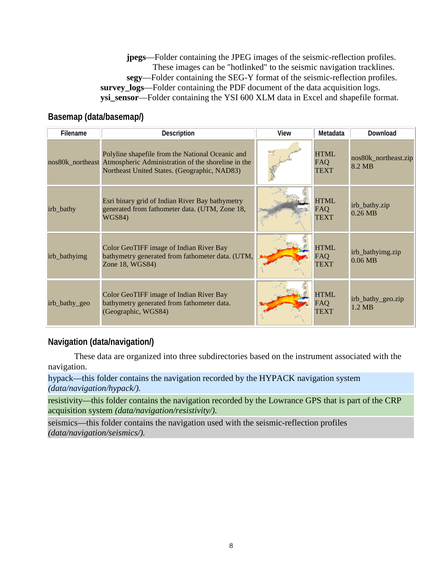**jpegs**—Folder containing the JPEG images of the seismic-reflection profiles. These images can be "hotlinked" to the seismic navigation tracklines. **segy**—Folder containing the SEG-Y format of the seismic-reflection profiles. **survey\_logs**—Folder containing the PDF document of the data acquisition logs. **ysi\_sensor**—Folder containing the YSI 600 XLM data in Excel and shapefile format.

#### **Basemap (data/basemap/)**

| Filename      | Description                                                                                                                                                             | View | Metadata                          | Download                       |
|---------------|-------------------------------------------------------------------------------------------------------------------------------------------------------------------------|------|-----------------------------------|--------------------------------|
|               | Polyline shapefile from the National Oceanic and<br>nos80k_northeast Atmospheric Administration of the shoreline in the<br>Northeast United States. (Geographic, NAD83) |      | <b>HTML</b><br>FAQ<br><b>TEXT</b> | nos80k_northeast.zip<br>8.2 MB |
| irb_bathy     | Esri binary grid of Indian River Bay bathymetry<br>generated from fathometer data. (UTM, Zone 18,<br><b>WGS84)</b>                                                      |      | <b>HTML</b><br>FAQ<br><b>TEXT</b> | irb_bathy.zip<br>$0.26$ MB     |
| irb_bathyimg  | Color GeoTIFF image of Indian River Bay<br>bathymetry generated from fathometer data. (UTM,<br>Zone 18, WGS84)                                                          |      | <b>HTML</b><br>FAQ<br><b>TEXT</b> | irb_bathyimg.zip<br>$0.06$ MB  |
| irb_bathy_geo | Color GeoTIFF image of Indian River Bay<br>bathymetry generated from fathometer data.<br>(Geographic, WGS84)                                                            |      | <b>HTML</b><br>FAQ<br><b>TEXT</b> | irb_bathy_geo.zip<br>1.2 MB    |

#### **Navigation (data/navigation/)**

These data are organized into three subdirectories based on the instrument associated with the navigation.

hypack—this folder contains the navigation recorded by the HYPACK navigation system *(data/navigation/hypack/).*

resistivity—this folder contains the navigation recorded by the Lowrance GPS that is part of the CRP acquisition system *(data/navigation/resistivity/)*.

seismics—this folder contains the navigation used with the seismic-reflection profiles *(data/navigation/seismics/).*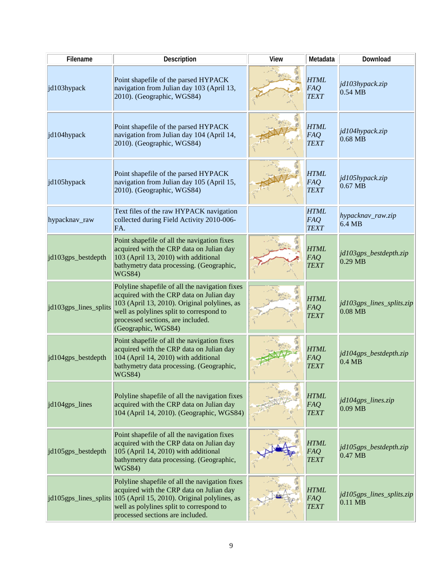| Filename              | Description                                                                                                                                                                                                                                        | <b>View</b> | Metadata                                 | Download                               |
|-----------------------|----------------------------------------------------------------------------------------------------------------------------------------------------------------------------------------------------------------------------------------------------|-------------|------------------------------------------|----------------------------------------|
| jd103hypack           | Point shapefile of the parsed HYPACK<br>navigation from Julian day 103 (April 13,<br>2010). (Geographic, WGS84)                                                                                                                                    |             | <b>HTML</b><br>FAQ<br><b>TEXT</b>        | jd103hypack.zip<br>$0.54$ MB           |
| jd104hypack           | Point shapefile of the parsed HYPACK<br>navigation from Julian day 104 (April 14,<br>2010). (Geographic, WGS84)                                                                                                                                    |             | <b>HTML</b><br>FAQ<br><b>TEXT</b>        | jd104hypack.zip<br>$0.68$ MB           |
| jd105hypack           | Point shapefile of the parsed HYPACK<br>navigation from Julian day 105 (April 15,<br>2010). (Geographic, WGS84)                                                                                                                                    |             | <b>HTML</b><br><b>FAQ</b><br><b>TEXT</b> | jd105hypack.zip<br>$0.67$ MB           |
| hypacknav_raw         | Text files of the raw HYPACK navigation<br>collected during Field Activity 2010-006-<br>FA.                                                                                                                                                        |             | <b>HTML</b><br><b>FAQ</b><br><b>TEXT</b> | hypacknav_raw.zip<br>6.4 MB            |
| jd103gps_bestdepth    | Point shapefile of all the navigation fixes<br>acquired with the CRP data on Julian day<br>103 (April 13, 2010) with additional<br>bathymetry data processing. (Geographic,<br><b>WGS84)</b>                                                       |             | <b>HTML</b><br>FAQ<br><b>TEXT</b>        | jd103gps_bestdepth.zip<br>$0.29$ MB    |
| jd103gps_lines_splits | Polyline shapefile of all the navigation fixes<br>acquired with the CRP data on Julian day<br>103 (April 13, 2010). Original polylines, as<br>well as polylines split to correspond to<br>processed sections, are included.<br>(Geographic, WGS84) |             | <b>HTML</b><br>FAQ<br><b>TEXT</b>        | jd103gps_lines_splits.zip<br>$0.08$ MB |
| jd104gps_bestdepth    | Point shapefile of all the navigation fixes<br>acquired with the CRP data on Julian day<br>104 (April 14, 2010) with additional<br>bathymetry data processing. (Geographic,<br><b>WGS84)</b>                                                       |             | <b>HTML</b><br>FAQ<br><b>TEXT</b>        | jd104gps_bestdepth.zip<br>$0.4$ MB     |
| id104gps_lines        | Polyline shapefile of all the navigation fixes<br>acquired with the CRP data on Julian day<br>104 (April 14, 2010). (Geographic, WGS84)                                                                                                            |             | <b>HTML</b><br>FAQ<br><b>TEXT</b>        | jd104gps_lines.zip<br>$0.09$ MB        |
| jd105gps_bestdepth    | Point shapefile of all the navigation fixes<br>acquired with the CRP data on Julian day<br>105 (April 14, 2010) with additional<br>bathymetry data processing. (Geographic,<br>WGS84)                                                              |             | <b>HTML</b><br>FAQ<br><b>TEXT</b>        | jd105gps_bestdepth.zip<br>$0.47$ MB    |
|                       | Polyline shapefile of all the navigation fixes<br>acquired with the CRP data on Julian day<br>jd105gps_lines_splits 105 (April 15, 2010). Original polylines, as<br>well as polylines split to correspond to<br>processed sections are included.   |             | <b>HTML</b><br>FAQ<br><b>TEXT</b>        | jd105gps_lines_splits.zip<br>$0.11$ MB |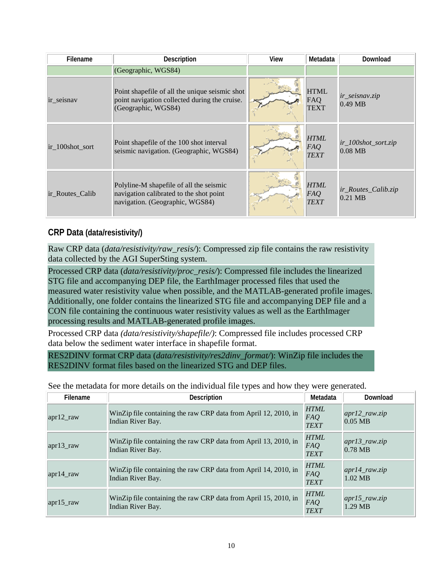| Filename        | <b>Description</b>                                                                                                     | View | Metadata                          | Download                                |
|-----------------|------------------------------------------------------------------------------------------------------------------------|------|-----------------------------------|-----------------------------------------|
|                 | (Geographic, WGS84)                                                                                                    |      |                                   |                                         |
| ir seisnav      | Point shapefile of all the unique seismic shot<br>point navigation collected during the cruise.<br>(Geographic, WGS84) |      | <b>HTML</b><br>FAQ<br><b>TEXT</b> | <i>ir_seisnav.zip</i><br>$0.49$ MB      |
| ir 100shot sort | Point shapefile of the 100 shot interval<br>seismic navigation. (Geographic, WGS84)                                    |      | <b>HTML</b><br>FAQ<br><b>TEXT</b> | $ir_100$ shot_sort.zip<br>$0.08$ MB     |
| ir Routes Calib | Polyline-M shapefile of all the seismic<br>navigation calibrated to the shot point<br>navigation. (Geographic, WGS84)  |      | <b>HTML</b><br>FAQ<br><b>TEXT</b> | <i>ir Routes Calib.zip</i><br>$0.21$ MB |

#### **CRP Data (data/resistivity/)**

Raw CRP data (*data/resistivity/raw\_resis/*): Compressed zip file contains the raw resistivity data collected by the AGI SuperSting system.

Processed CRP data (*data/resistivity/proc\_resis/*): Compressed file includes the linearized STG file and accompanying DEP file, the EarthImager processed files that used the measured water resistivity value when possible, and the MATLAB-generated profile images. Additionally, one folder contains the linearized STG file and accompanying DEP file and a CON file containing the continuous water resistivity values as well as the EarthImager processing results and MATLAB-generated profile images.

Processed CRP data *(data/resistivity/shapefile/)*: Compressed file includes processed CRP data below the sediment water interface in shapefile format.

RES2DINV format CRP data (*data/resistivity/res2dinv\_format/*): WinZip file includes the RES2DINV format files based on the linearized STG and DEP files.

| Filename           | <b>Description</b>                                                                   | Metadata                          | Download                              |
|--------------------|--------------------------------------------------------------------------------------|-----------------------------------|---------------------------------------|
| $apr12$ _raw       | WinZip file containing the raw CRP data from April 12, 2010, in<br>Indian River Bay. | <b>HTML</b><br>FAQ<br><b>TEXT</b> | $apr12_{rawzip}$<br>$0.05$ MB         |
| $\alpha$ apr13 raw | WinZip file containing the raw CRP data from April 13, 2010, in<br>Indian River Bay. | <b>HTML</b><br>FAQ<br><b>TEXT</b> | $apr13_{rawzip}$<br>$0.78$ MB         |
| $apr14$ _raw       | WinZip file containing the raw CRP data from April 14, 2010, in<br>Indian River Bay. | <b>HTML</b><br>FAQ<br><b>TEXT</b> | $apr14$ _raw.zip<br>$1.02 \text{ MB}$ |
| $\alpha$ apr15 raw | WinZip file containing the raw CRP data from April 15, 2010, in<br>Indian River Bay. | <b>HTML</b><br>FAQ<br><b>TEXT</b> | $apr15_{raw,zip}$<br>1.29 MB          |

See the metadata for more details on the individual file types and how they were generated.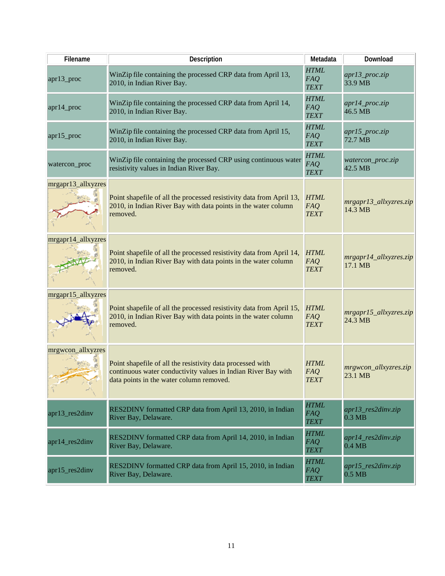| Filename           | <b>Description</b>                                                                                                                                                      | Metadata                                 | Download                                       |
|--------------------|-------------------------------------------------------------------------------------------------------------------------------------------------------------------------|------------------------------------------|------------------------------------------------|
| apr13_proc         | WinZip file containing the processed CRP data from April 13,<br>2010, in Indian River Bay.                                                                              | <b>HTML</b><br>FAQ<br><b>TEXT</b>        | apr13_proc.zip<br>33.9 MB                      |
| apr14_proc         | WinZip file containing the processed CRP data from April 14,<br>2010, in Indian River Bay.                                                                              | <b>HTML</b><br><b>FAQ</b><br><b>TEXT</b> | $apr14\_proc,zip$<br>46.5 MB                   |
| apr15_proc         | WinZip file containing the processed CRP data from April 15,<br>2010, in Indian River Bay.                                                                              | <b>HTML</b><br><b>FAQ</b><br><b>TEXT</b> | $apr15\_proc.zip$<br>72.7 MB                   |
| watercon_proc      | WinZip file containing the processed CRP using continuous water<br>resistivity values in Indian River Bay.                                                              | <b>HTML</b><br><b>FAQ</b><br><b>TEXT</b> | watercon_proc.zip<br>42.5 MB                   |
| mrgapr13_allxyzres | Point shapefile of all the processed resistivity data from April 13,<br>2010, in Indian River Bay with data points in the water column<br>removed.                      | <b>HTML</b><br>FAQ<br><b>TEXT</b>        | mrgapr13_allxyzres.zip<br>14.3 MB              |
| mrgapr14_allxyzres | Point shapefile of all the processed resistivity data from April 14,<br>2010, in Indian River Bay with data points in the water column<br>removed.                      | <b>HTML</b><br>FAQ<br><b>TEXT</b>        | mrgapr14_allxyzres.zip<br>17.1 MB              |
| mrgapr15_allxyzres | Point shapefile of all the processed resistivity data from April 15,<br>2010, in Indian River Bay with data points in the water column<br>removed.                      | <b>HTML</b><br>FAQ<br><b>TEXT</b>        | $mrgapr15_$ allxyzres.zip<br>$24.3 \text{ MB}$ |
| mrgwcon_allxyzres  | Point shapefile of all the resistivity data processed with<br>continuous water conductivity values in Indian River Bay with<br>data points in the water column removed. | <b>HTML</b><br>FAQ<br><b>TEXT</b>        | mrgwcon_allxyzres.zip<br>$ 23.1 \text{ MB} $   |
| apr13_res2dinv     | RES2DINV formatted CRP data from April 13, 2010, in Indian<br>River Bay, Delaware.                                                                                      | <b>HTML</b><br><b>FAQ</b><br><b>TEXT</b> | apr13_res2dinv.zip<br>$0.3$ MB                 |
| apr14_res2dinv     | RES2DINV formatted CRP data from April 14, 2010, in Indian<br>River Bay, Delaware.                                                                                      | <b>HTML</b><br><b>FAQ</b><br><b>TEXT</b> | apr14_res2dinv.zip<br>$0.4$ MB                 |
| apr15_res2dinv     | RES2DINV formatted CRP data from April 15, 2010, in Indian<br>River Bay, Delaware.                                                                                      | <b>HTML</b><br><b>FAQ</b><br><b>TEXT</b> | $apr15_{res2}$ dinv.zip<br>$0.5$ MB            |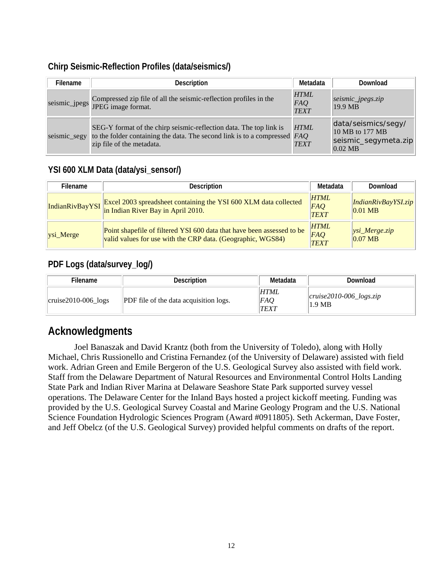#### **Chirp Seismic-Reflection Profiles (data/seismics/)**

| Filename     | <b>Description</b>                                                                                                                                                             | Metadata                          | Download                                                                    |
|--------------|--------------------------------------------------------------------------------------------------------------------------------------------------------------------------------|-----------------------------------|-----------------------------------------------------------------------------|
|              | Compressed zip file of all the seismic-reflection profiles in the<br>seismic_jpegs JPEG image format.                                                                          | <b>HTML</b><br>FAQ<br><b>TEXT</b> | seismic_jpegs.zip<br>19.9 MB                                                |
| seismic_segy | SEG-Y format of the chirp seismic-reflection data. The top link is<br>to the folder containing the data. The second link is to a compressed $FAQ$<br>zip file of the metadata. | <b>HTML</b><br><b>TEXT</b>        | data/seismics/segy/<br>10 MB to 177 MB<br>seismic_segymeta.zip<br>$0.02$ MB |

#### **YSI 600 XLM Data (data/ysi\_sensor/)**

| Filename             | Description                                                                                                                           | Metadata                          | Download                                |
|----------------------|---------------------------------------------------------------------------------------------------------------------------------------|-----------------------------------|-----------------------------------------|
|                      | Excel 2003 spreadsheet containing the YSI 600 XLM data collected<br>IndianRivBayYSI in Indian River Bay in April 2010.                | <b>HTML</b><br>FAQ<br><b>TEXT</b> | <i>IndianRivBayYSI.zip</i><br>$0.01$ MB |
| $\sqrt{ysi_M}$ Merge | Point shapefile of filtered YSI 600 data that have been assessed to be<br>valid values for use with the CRP data. (Geographic, WGS84) | <b>HTML</b><br>FAQ<br><b>TEXT</b> | $ ysi_M$ erge.zip<br>$0.07$ MB          |

#### **PDF Logs (data/survey\_log/)**

| Filename                     | <b>Description</b>                            | Metadata                   | Download                                    |
|------------------------------|-----------------------------------------------|----------------------------|---------------------------------------------|
| $ cruise2010-006\rceil$ logs | <b>PDF</b> file of the data acquisition logs. | <b>HTML</b><br>FAQ<br>TEXT | $ cruise2010-006\rangle$ logs.zip<br>1.9 MB |

## **Acknowledgments**

Joel Banaszak and David Krantz (both from the University of Toledo), along with Holly Michael, Chris Russionello and Cristina Fernandez (of the University of Delaware) assisted with field work. Adrian Green and Emile Bergeron of the U.S. Geological Survey also assisted with field work. Staff from the Delaware Department of Natural Resources and Environmental Control Holts Landing State Park and Indian River Marina at Delaware Seashore State Park supported survey vessel operations. The Delaware Center for the Inland Bays hosted a project kickoff meeting. Funding was provided by the U.S. Geological Survey Coastal and Marine Geology Program and the U.S. National Science Foundation Hydrologic Sciences Program (Award #0911805). Seth Ackerman, Dave Foster, and Jeff Obelcz (of the U.S. Geological Survey) provided helpful comments on drafts of the report.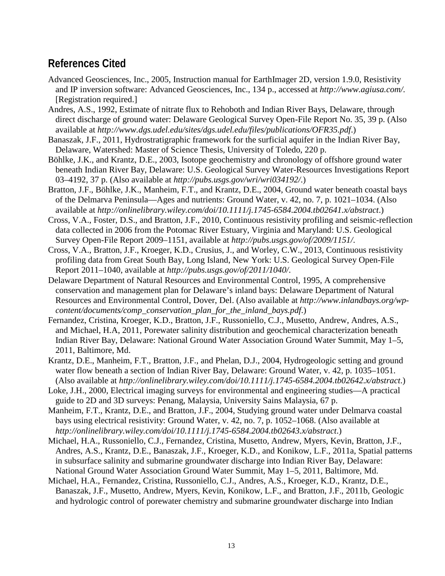## **References Cited**

- Advanced Geosciences, Inc., 2005, Instruction manual for EarthImager 2D, version 1.9.0, Resistivity and IP inversion software: Advanced Geosciences, Inc., 134 p., accessed at *<http://www.agiusa.com/>*. [Registration required.]
- Andres, A.S., 1992, Estimate of nitrate flux to Rehoboth and Indian River Bays, Delaware, through direct discharge of ground water: Delaware Geological Survey Open-File Report No. 35, 39 p. (Also available at *<http://www.dgs.udel.edu/sites/dgs.udel.edu/files/publications/OFR35.pdf>*.)
- Banaszak, J.F., 2011, Hydrostratigraphic framework for the surficial aquifer in the Indian River Bay, Delaware, Watershed: Master of Science Thesis, University of Toledo, 220 p.
- Böhlke, J.K., and Krantz, D.E., 2003, Isotope geochemistry and chronology of offshore ground water beneath Indian River Bay, Delaware: U.S. Geological Survey Water-Resources Investigations Report 03–4192, 37 p. (Also available at *<http://pubs.usgs.gov/wri/wri034192/>*.)
- Bratton, J.F., Böhlke, J.K., Manheim, F.T., and Krantz, D.E., 2004, Ground water beneath coastal bays of the Delmarva Peninsula—Ages and nutrients: Ground Water, v. 42, no. 7, p. 1021–1034. (Also available at *<http://onlinelibrary.wiley.com/doi/10.1111/j.1745-6584.2004.tb02641.x/abstract>*.)
- Cross, V.A., Foster, D.S., and Bratton, J.F., 2010, Continuous resistivity profiling and seismic-reflection data collected in 2006 from the Potomac River Estuary, Virginia and Maryland: U.S. Geological Survey Open-File Report 2009–1151, available at *<http://pubs.usgs.gov/of/2009/1151/>*.
- Cross, V.A., Bratton, J.F., Kroeger, K.D., Crusius, J., and Worley, C.W., 2013, Continuous resistivity profiling data from Great South Bay, Long Island, New York: U.S. Geological Survey Open-File Report 2011–1040, available at *<http://pubs.usgs.gov/of/2011/1040/>*.
- Delaware Department of Natural Resources and Environmental Control, 1995, A comprehensive conservation and management plan for Delaware's inland bays: Delaware Department of Natural Resources and Environmental Control, Dover, Del. (Also available at *[http://www.inlandbays.org/wp](http://www.inlandbays.org/wp-content/documents/comp_conservation_plan_for_the_inland_bays.pdf)[content/documents/comp\\_conservation\\_plan\\_for\\_the\\_inland\\_bays.pdf](http://www.inlandbays.org/wp-content/documents/comp_conservation_plan_for_the_inland_bays.pdf)*.)
- Fernandez, Cristina, Kroeger, K.D., Bratton, J.F., Russoniello, C.J., Musetto, Andrew, Andres, A.S., and Michael, H.A, 2011, Porewater salinity distribution and geochemical characterization beneath Indian River Bay, Delaware: National Ground Water Association Ground Water Summit, May 1–5, 2011, Baltimore, Md.
- Krantz, D.E., Manheim, F.T., Bratton, J.F., and Phelan, D.J., 2004, Hydrogeologic setting and ground water flow beneath a section of Indian River Bay, Delaware: Ground Water, v. 42, p. 1035–1051. (Also available at *<http://onlinelibrary.wiley.com/doi/10.1111/j.1745-6584.2004.tb02642.x/abstract>*.)
- Loke, J.H., 2000, Electrical imaging surveys for environmental and engineering studies—A practical guide to 2D and 3D surveys: Penang, Malaysia, University Sains Malaysia, 67 p.
- Manheim, F.T., Krantz, D.E., and Bratton, J.F., 2004, Studying ground water under Delmarva coastal bays using electrical resistivity: Ground Water, v. 42, no. 7, p. 1052–1068. (Also available at *<http://onlinelibrary.wiley.com/doi/10.1111/j.1745-6584.2004.tb02643.x/abstract>*.)
- Michael, H.A., Russoniello, C.J., Fernandez, Cristina, Musetto, Andrew, Myers, Kevin, Bratton, J.F., Andres, A.S., Krantz, D.E., Banaszak, J.F., Kroeger, K.D., and Konikow, L.F., 2011a, Spatial patterns in subsurface salinity and submarine groundwater discharge into Indian River Bay, Delaware: National Ground Water Association Ground Water Summit, May 1–5, 2011, Baltimore, Md.
- Michael, H.A., Fernandez, Cristina, Russoniello, C.J., Andres, A.S., Kroeger, K.D., Krantz, D.E., Banaszak, J.F., Musetto, Andrew, Myers, Kevin, Konikow, L.F., and Bratton, J.F., 2011b, Geologic and hydrologic control of porewater chemistry and submarine groundwater discharge into Indian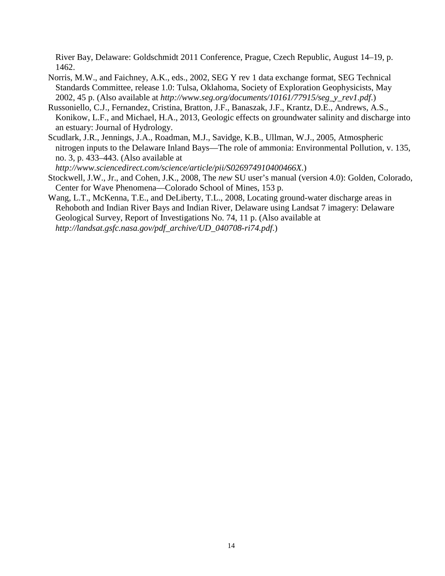River Bay, Delaware: Goldschmidt 2011 Conference, Prague, Czech Republic, August 14–19, p. 1462.

- Norris, M.W., and Faichney, A.K., eds., 2002, SEG Y rev 1 data exchange format, SEG Technical Standards Committee, release 1.0: Tulsa, Oklahoma, Society of Exploration Geophysicists, May 2002, 45 p. (Also available at *[http://www.seg.org/documents/10161/77915/seg\\_y\\_rev1.pdf](http://www.seg.org/documents/10161/77915/seg_y_rev1.pdf)*.)
- Russoniello, C.J., Fernandez, Cristina, Bratton, J.F., Banaszak, J.F., Krantz, D.E., Andrews, A.S., Konikow, L.F., and Michael, H.A., 2013, Geologic effects on groundwater salinity and discharge into an estuary: Journal of Hydrology.
- Scudlark, J.R., Jennings, J.A., Roadman, M.J., Savidge, K.B., Ullman, W.J., 2005, Atmospheric nitrogen inputs to the Delaware Inland Bays—The role of ammonia: Environmental Pollution, v. 135, no. 3, p. 433–443. (Also available at

*<http://www.sciencedirect.com/science/article/pii/S026974910400466X>*.)

- Stockwell, J.W., Jr., and Cohen, J.K., 2008, The *new* SU user's manual (version 4.0): Golden, Colorado, Center for Wave Phenomena—Colorado School of Mines, 153 p.
- Wang, L.T., McKenna, T.E., and DeLiberty, T.L., 2008, Locating ground-water discharge areas in Rehoboth and Indian River Bays and Indian River, Delaware using Landsat 7 imagery: Delaware Geological Survey, Report of Investigations No. 74, 11 p. (Also available at *[http://landsat.gsfc.nasa.gov/pdf\\_archive/UD\\_040708-ri74.pdf](http://landsat.gsfc.nasa.gov/pdf_archive/UD_040708-ri74.pdf)*.)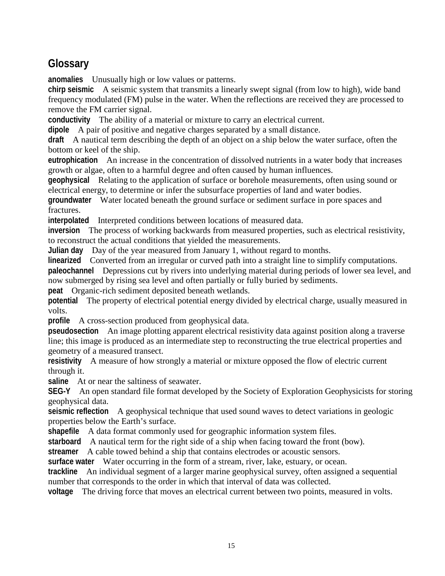## **Glossary**

**anomalies** Unusually high or low values or patterns.

**chirp seismic** A seismic system that transmits a linearly swept signal (from low to high), wide band frequency modulated (FM) pulse in the water. When the reflections are received they are processed to remove the FM carrier signal.

**conductivity** The ability of a material or mixture to carry an electrical current.

**dipole** A pair of positive and negative charges separated by a small distance.

**draft** A nautical term describing the depth of an object on a ship below the water surface, often the bottom or keel of the ship.

**eutrophication** An increase in the concentration of dissolved nutrients in a water body that increases growth or algae, often to a harmful degree and often caused by human influences.

**geophysical** Relating to the application of surface or borehole measurements, often using sound or electrical energy, to determine or infer the subsurface properties of land and water bodies.

**groundwater** Water located beneath the ground surface or sediment surface in pore spaces and fractures.

**interpolated** Interpreted conditions between locations of measured data.

**inversion** The process of working backwards from measured properties, such as electrical resistivity, to reconstruct the actual conditions that yielded the measurements.

**Julian day** Day of the year measured from January 1, without regard to months.

**linearized** Converted from an irregular or curved path into a straight line to simplify computations.

**paleochannel** Depressions cut by rivers into underlying material during periods of lower sea level, and now submerged by rising sea level and often partially or fully buried by sediments.

**peat** Organic-rich sediment deposited beneath wetlands.

**potential** The property of electrical potential energy divided by electrical charge, usually measured in volts.

**profile** A cross-section produced from geophysical data.

**pseudosection** An image plotting apparent electrical resistivity data against position along a traverse line; this image is produced as an intermediate step to reconstructing the true electrical properties and geometry of a measured transect.

**resistivity** A measure of how strongly a material or mixture opposed the flow of electric current through it.

**saline** At or near the saltiness of seawater.

**SEG-Y** An open standard file format developed by the Society of Exploration Geophysicists for storing geophysical data.

**seismic reflection** A geophysical technique that used sound waves to detect variations in geologic properties below the Earth's surface.

**shapefile** A data format commonly used for geographic information system files.

**starboard** A nautical term for the right side of a ship when facing toward the front (bow).

**streamer** A cable towed behind a ship that contains electrodes or acoustic sensors.

**surface water** Water occurring in the form of a stream, river, lake, estuary, or ocean.

**trackline** An individual segment of a larger marine geophysical survey, often assigned a sequential number that corresponds to the order in which that interval of data was collected.

**voltage** The driving force that moves an electrical current between two points, measured in volts.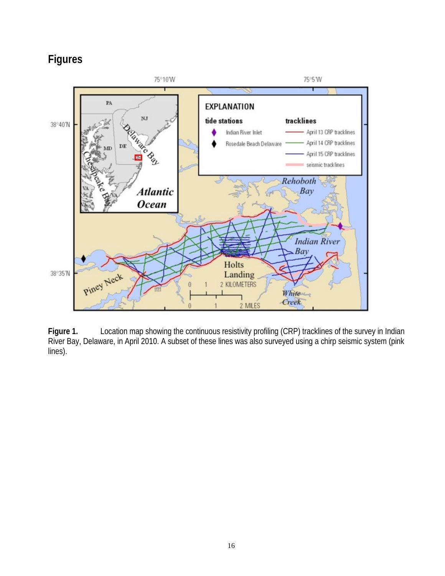## **Figures**



Figure 1. Location map showing the continuous resistivity profiling (CRP) tracklines of the survey in Indian River Bay, Delaware, in April 2010. A subset of these lines was also surveyed using a chirp seismic system (pink lines).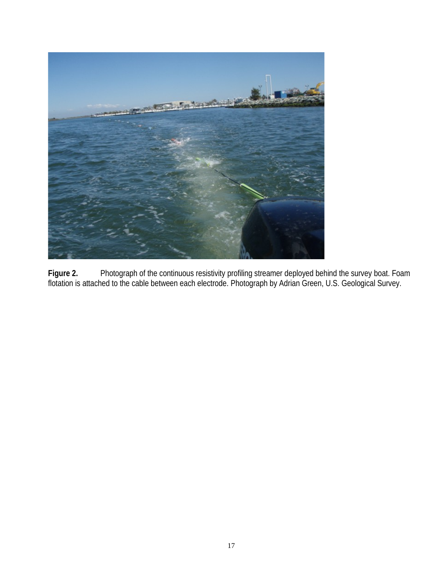

**Figure 2.** Photograph of the continuous resistivity profiling streamer deployed behind the survey boat. Foam flotation is attached to the cable between each electrode. Photograph by Adrian Green, U.S. Geological Survey.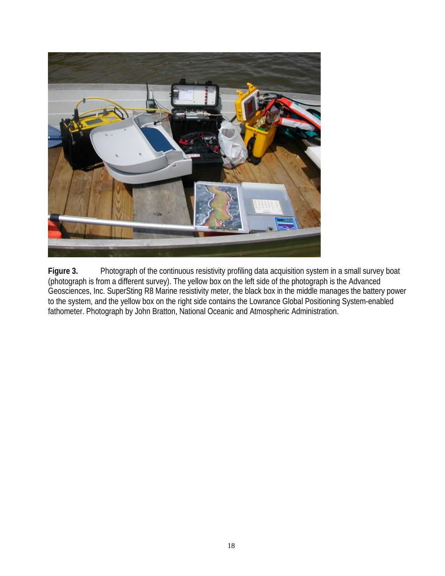

Figure 3. Photograph of the continuous resistivity profiling data acquisition system in a small survey boat (photograph is from a different survey). The yellow box on the left side of the photograph is the Advanced Geosciences, Inc. SuperSting R8 Marine resistivity meter, the black box in the middle manages the battery power to the system, and the yellow box on the right side contains the Lowrance Global Positioning System-enabled fathometer. Photograph by John Bratton, National Oceanic and Atmospheric Administration.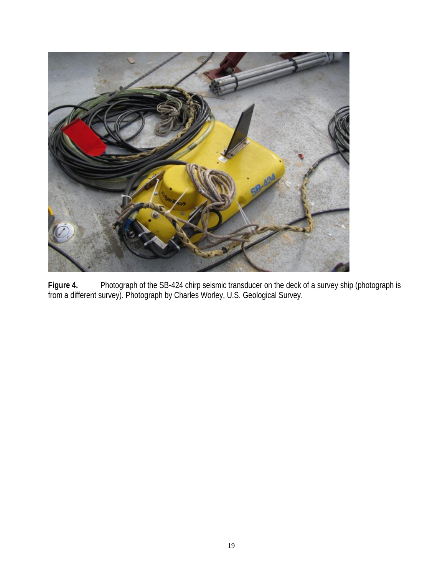

**Figure 4.** Photograph of the SB-424 chirp seismic transducer on the deck of a survey ship (photograph is from a different survey). Photograph by Charles Worley, U.S. Geological Survey.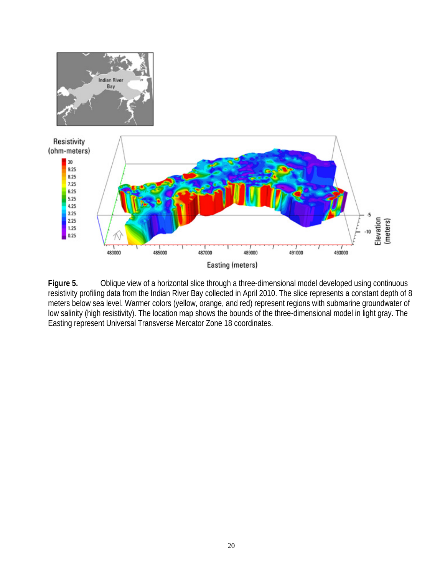



Figure 5. Oblique view of a horizontal slice through a three-dimensional model developed using continuous resistivity profiling data from the Indian River Bay collected in April 2010. The slice represents a constant depth of 8 meters below sea level. Warmer colors (yellow, orange, and red) represent regions with submarine groundwater of low salinity (high resistivity). The location map shows the bounds of the three-dimensional model in light gray. The Easting represent Universal Transverse Mercator Zone 18 coordinates.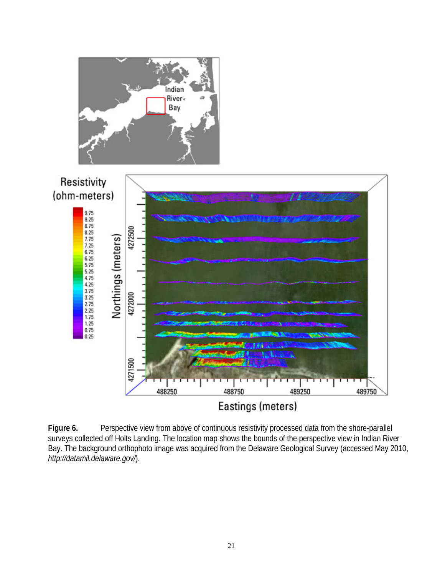

Figure 6. Perspective view from above of continuous resistivity processed data from the shore-parallel surveys collected off Holts Landing. The location map shows the bounds of the perspective view in Indian River Bay. The background orthophoto image was acquired from the Delaware Geological Survey (accessed May 2010, *<http://datamil.delaware.gov/>*).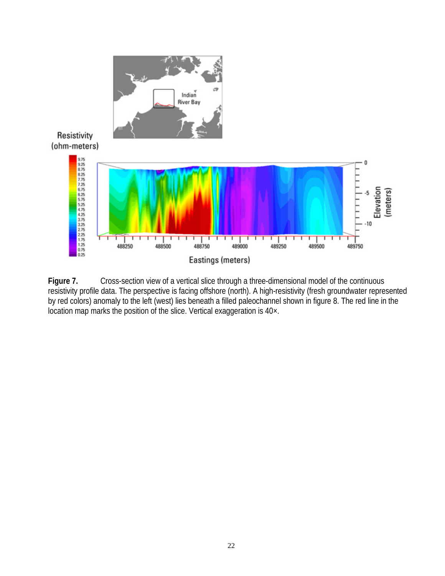

Figure 7. Cross-section view of a vertical slice through a three-dimensional model of the continuous resistivity profile data. The perspective is facing offshore (north). A high-resistivity (fresh groundwater represented by red colors) anomaly to the left (west) lies beneath a filled paleochannel shown in figure 8. The red line in the location map marks the position of the slice. Vertical exaggeration is  $40 \times$ .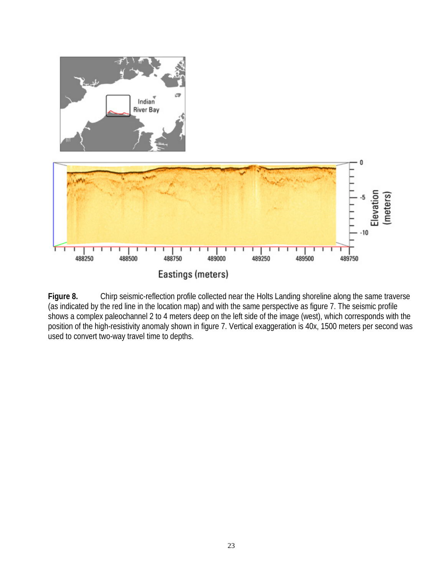

**Figure 8.** Chirp seismic-reflection profile collected near the Holts Landing shoreline along the same traverse (as indicated by the red line in the location map) and with the same perspective as figure 7. The seismic profile shows a complex paleochannel 2 to 4 meters deep on the left side of the image (west), which corresponds with the position of the high-resistivity anomaly shown in figure 7. Vertical exaggeration is 40x, 1500 meters per second was used to convert two-way travel time to depths.